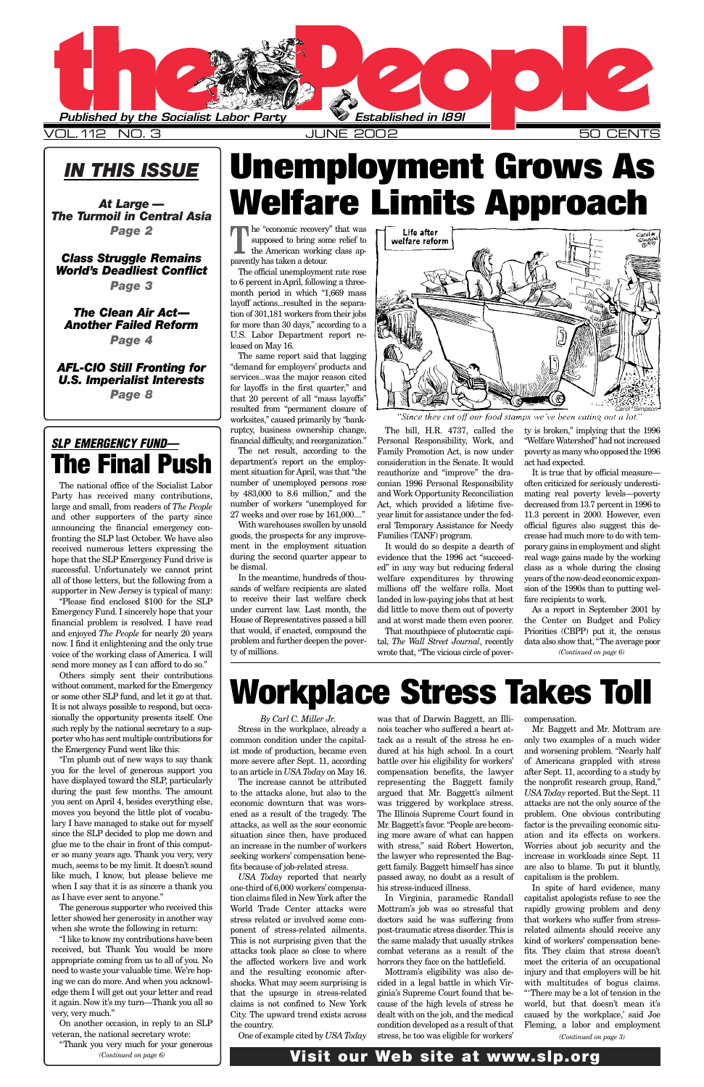### *IN THIS ISSUE*

*At Large — The Turmoil in Central Asia Page 2*

*Class Struggle Remains World's Deadliest Conflict Page 3*

*The Clean Air Act— Another Failed Reform Page 4*

*AFL-CIO Still Fronting for U.S. Imperialist Interests Page 8*

> *By Carl C. Miller Jr.* Stress in the workplace, already a common condition under the capitalist mode of production, became even more severe after Sept. 11, according to an article in *USA Today* on May 16.

The increase cannot be attributed to the attacks alone, but also to the

economic downturn that was worsened as a result of the tragedy. The attacks, as well as the sour economic situation since then, have produced an increase in the number of workers seeking workers' compensation benefits because of job-related stress.

*USA Today* reported that nearly one-third of 6,000 workers'compensation claims filed in New York after the World Trade Center attacks were stress related or involved some component of stress-related ailments. This is not surprising given that the attacks took place so close to where the affected workers live and work and the resulting economic aftershocks. What may seem surprising is that the upsurge in stress-related claims is not confined to New York City. The upward trend exists across the country.

One of example cited by *USA Today*

The "economic recovery" that was supposed to bring some relief to the American working class apparently has taken a detour.

> was that of Darwin Baggett, an Illinois teacher who suffered a heart attack as a result of the stress he endured at his high school. In a court battle over his eligibility for workers' compensation benefits, the lawyer representing the Baggett family argued that Mr. Baggett's ailment was triggered by workplace stress. The Illinois Supreme Court found in Mr. Baggett's favor. "People are becoming more aware of what can happen with stress," said Robert Howerton, the lawyer who represented the Baggett family. Baggett himself has since passed away, no doubt as a result of his stress-induced illness. In Virginia, paramedic Randall Mottram's job was so stressful that doctors said he was suffering from post-traumatic stress disorder. This is the same malady that usually strikes combat veterans as a result of the horrors they face on the battlefield. Mottram's eligibility was also decided in a legal battle in which Virginia's Supreme Court found that because of the high levels of stress he dealt with on the job, and the medical condition developed as a result of that stress, he too was eligible for workers'

compensation.

Mr. Baggett and Mr. Mottram are only two examples of a much wider and worsening problem. "Nearly half of Americans grappled with stress after Sept. 11, according to a study by the nonprofit research group, Rand," *USA Today* reported. But the Sept. 11 attacks are not the only source of the problem. One obvious contributing factor is the prevailing economic situation and its effects on workers. Worries about job security and the increase in workloads since Sept. 11 are also to blame. To put it bluntly, capitalism is the problem. In spite of hard evidence, many capitalist apologists refuse to see the rapidly growing problem and deny that workers who suffer from stressrelated ailments should receive any kind of workers' compensation benefits. They claim that stress doesn't meet the criteria of an occupational injury and that employers will be hit with multitudes of bogus claims. "'There may be a lot of tension in the world, but that doesn't mean it's caused by the workplace,' said Joe Fleming, a labor and employment



The official unemployment rate rose to 6 percent in April, following a threemonth period in which "1,669 mass layoff actions...resulted in the separation of 301,181 workers from their jobs for more than 30 days," according to a U.S. Labor Department report released on May 16.

The same report said that lagging "demand for employers' products and services...was the major reason cited for layoffs in the first quarter," and that 20 percent of all "mass layoffs" resulted from "permanent closure of worksites," caused primarily by "bankruptcy, business ownership change, financial difficulty, and reorganization."

The net result, according to the department's report on the employment situation for April, was that "the number of unemployed persons rose by 483,000 to 8.6 million," and the number of workers "unemployed for 27 weeks and over rose by 161,000...."

With warehouses swollen by unsold goods, the prospects for any improvement in the employment situation during the second quarter appear to be dismal.

In the meantime, hundreds of thousands of welfare recipients are slated to receive their last welfare check under current law. Last month, the House of Representatives passed a bill that would, if enacted, compound the problem and further deepen the poverty of millions.

![](_page_0_Picture_21.jpeg)

'Since they cut off our food stamps we've been eating out a lot.<sup>4</sup>

The bill, H.R. 4737, called the Personal Responsibility, Work, and Family Promotion Act, is now under consideration in the Senate. It would reauthorize and "improve" the draconian 1996 Personal Responsibility and Work Opportunity Reconciliation Act, which provided a lifetime fiveyear limit for assistance under the federal Temporary Assistance for Needy Families (TANF) program.

It would do so despite a dearth of evidence that the 1996 act "succeeded" in any way but reducing federal welfare expenditures by throwing millions off the welfare rolls. Most landed in low-paying jobs that at best did little to move them out of poverty and at worst made them even poorer.

That mouthpiece of plutocratic capital, *The Wall Street Journal*, recently wrote that, "The vicious circle of poverty is broken," implying that the 1996 "Welfare Watershed" had not increased poverty as many who opposed the 1996 act had expected.

It is true that by official measure often criticized for seriously underestimating real poverty levels—poverty decreased from 13.7 percent in 1996 to 11.3 percent in 2000. However, even official figures also suggest this decrease had much more to do with temporary gains in employment and slight real wage gains made by the working class as a whole during the closing years of the now-dead economic expansion of the 1990s than to putting welfare recipients to work.

The national office of the Socialist Labor Party has received many contributions, large and small, from readers of *The People* and other supporters of the party since announcing the financial emergency confronting the SLP last October. We have also received numerous letters expressing the hope that the SLP Emergency Fund drive is successful. Unfortunately we cannot print all of those letters, but the following from a supporter in New Jersey is typical of many:

"Please find enclosed \$100 for the SLP Emergency Fund. I sincerely hope that your financial problem is resolved. I have read and enjoyed *The People* for nearly 20 years now. I find it enlightening and the only true voice of the working class of America. I will send more money as I can afford to do so."

Others simply sent their contributions without comment, marked for the Emergency or some other SLP fund, and let it go at that. It is not always possible to respond, but occasionally the opportunity presents itself. One such reply by the national secretary to a supporter who has sent multiple contributions for the Emergency Fund went like this:

As a report in September 2001 by the Center on Budget and Policy Priorities (CBPP) put it, the census data also show that, "The average poor *(Continued on page 6)*

"I'm plumb out of new ways to say thank you for the level of generous support you have displayed toward the SLP, particularly during the past few months. The amount you sent on April 4, besides everything else, moves you beyond the little plot of vocabulary I have managed to stake out for myself since the SLP decided to plop me down and glue me to the chair in front of this computer so many years ago. Thank you very, very much, seems to be my limit. It doesn't sound like much, I know, but please believe me when I say that it is as sincere a thank you as I have ever sent to anyone." The generous supporter who received this letter showed her generosity in another way when she wrote the following in return: "I like to know my contributions have been received, but Thank You would be more appropriate coming from us to all of you. No need to waste your valuable time. We're hoping we can do more. And when you acknowledge them I will get out your letter and read it again. Now it's my turn—Thank you all so very, very much."

On another occasion, in reply to an SLP veteran, the national secretary wrote:

# **Unemployment Grows As Welfare Limits Approach**

# **Workplace Stress Takes Toll**

"Thank you very much for your generous *(Continued on page 6)*

*(Continued on page 3)*

### **Visit our Web site at www.slp.org**

### *SLP EMERGENCY FUND—* **The Final Push**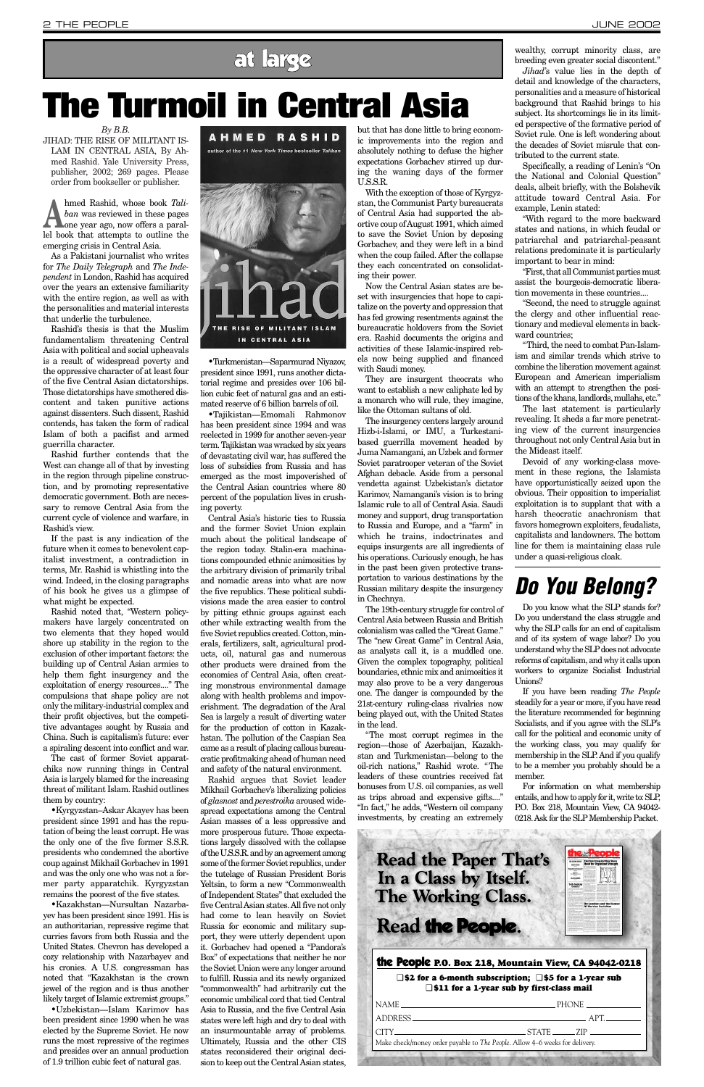JIHAD: THE RISE OF MILITANT IS-LAM IN CENTRAL ASIA, By Ahmed Rashid. Yale University Press, publisher, 2002; 269 pages. Please order from bookseller or publisher.

Ahmed Rashid, whose book *Tali-*<br>
ban was reviewed in these pages<br>
one year ago, now offers a paral*ban* was reviewed in these pages lel book that attempts to outline the emerging crisis in Central Asia.

As a Pakistani journalist who writes for *The Daily Telegraph* and *The Independent* in London, Rashid has acquired over the years an extensive familiarity with the entire region, as well as with the personalities and material interests that underlie the turbulence.

Rashid's thesis is that the Muslim fundamentalism threatening Central Asia with political and social upheavals is a result of widespread poverty and the oppressive character of at least four of the five Central Asian dictatorships. Those dictatorships have smothered discontent and taken punitive actions against dissenters. Such dissent, Rashid contends, has taken the form of radical Islam of both a pacifist and armed guerrilla character.

Rashid further contends that the West can change all of that by investing in the region through pipeline construction, and by promoting representative democratic government. Both are necessary to remove Central Asia from the current cycle of violence and warfare, in Rashid's view.

If the past is any indication of the future when it comes to benevolent capitalist investment, a contradiction in terms, Mr. Rashid is whistling into the wind. Indeed, in the closing paragraphs of his book he gives us a glimpse of what might be expected.

Rashid noted that, "Western policymakers have largely concentrated on two elements that they hoped would shore up stability in the region to the exclusion of other important factors: the building up of Central Asian armies to help them fight insurgency and the exploitation of energy resources...." The compulsions that shape policy are not only the military-industrial complex and their profit objectives, but the competitive advantages sought by Russia and China. Such is capitalism's future: ever a spiraling descent into conflict and war.

The cast of former Soviet apparatchiks now running things in Central Asia is largely blamed for the increasing threat of militant Islam. Rashid outlines them by country:

#### **AHMED RASHID**

![](_page_1_Picture_14.jpeg)

•Kyrgyzstan–Askar Akayev has been president since 1991 and has the reputation of being the least corrupt. He was the only one of the five former S.S.R. presidents who condemned the abortive coup against Mikhail Gorbachev in 1991 and was the only one who was not a former party apparatchik. Kyrgyzstan remains the poorest of the five states.

•Kazakhstan—Nursultan Nazarbayev has been president since 1991. His is an authoritarian, repressive regime that curries favors from both Russia and the United States. Chevron has developed a cozy relationship with Nazarbayev and his cronies. A U.S. congressman has noted that "Kazakhstan is the crown jewel of the region and is thus another likely target of Islamic extremist groups."

•Uzbekistan—Islam Karimov has been president since 1990 when he was elected by the Supreme Soviet. He now runs the most repressive of the regimes and presides over an annual production of 1.9 trillion cubic feet of natural gas.

•Turkmenistan—Saparmurad Niyazov, president since 1991, runs another dictatorial regime and presides over 106 billion cubic feet of natural gas and an estimated reserve of 6 billion barrels of oil.

•Tajikistan—Emomali Rahmonov has been president since 1994 and was reelected in 1999 for another seven-year term. Tajikistan was wracked by six years of devastating civil war, has suffered the loss of subsidies from Russia and has emerged as the most impoverished of the Central Asian countries where 80 percent of the population lives in crushing poverty.

Central Asia's historic ties to Russia and the former Soviet Union explain much about the political landscape of the region today. Stalin-era machinations compounded ethnic animosities by the arbitrary division of primarily tribal and nomadic areas into what are now the five republics. These political subdivisions made the area easier to control by pitting ethnic groups against each other while extracting wealth from the five Soviet republics created. Cotton, minerals, fertilizers, salt, agricultural products, oil, natural gas and numerous other products were drained from the economies of Central Asia, often creating monstrous environmental damage along with health problems and impoverishment. The degradation of the Aral Sea is largely a result of diverting water for the production of cotton in Kazakhstan. The pollution of the Caspian Sea came as a result of placing callous bureaucratic profitmaking ahead of human need

and safety of the natural environment. Rashid argues that Soviet leader Mikhail Gorbachev's liberalizing policies of *glasnost* and *perestroika* aroused widespread expectations among the Central Asian masses of a less oppressive and more prosperous future. Those expectations largely dissolved with the collapse of the U.S.S.R. and by an agreement among some of the former Soviet republics, under the tutelage of Russian President Boris Yeltsin, to form a new "Commonwealth of Independent States" that excluded the five Central Asian states. All five not only had come to lean heavily on Soviet Russia for economic and military support, they were utterly dependent upon it. Gorbachev had opened a "Pandora's Box" of expectations that neither he nor the Soviet Union were any longer around to fulfill. Russia and its newly organized "commonwealth" had arbitrarily cut the economic umbilical cord that tied Central Asia to Russia, and the five Central Asia states were left high and dry to deal with an insurmountable array of problems. Ultimately, Russia and the other CIS states reconsidered their original decision to keep out the Central Asian states,

**Read the Paper That's** In a Class by Itself. The Working Class. Read the People. the People **P.O. Box 218, Mountain View, CA 94042-0218** ❑ **\$2 for a 6-month subscription;** ❑ **\$5 for a 1-year sub** ❑ **\$11 for a 1-year sub by first-class mail** NAME PHONE ADDRESS APT.  $CITY$   $STATE$   $ZIP$ Make check/money order payable to *The People*. Allow 4–6 weeks for delivery.

but that has done little to bring economic improvements into the region and absolutely nothing to defuse the higher expectations Gorbachev stirred up during the waning days of the former U.S.S.R.

With the exception of those of Kyrgyzstan, the Communist Party bureaucrats of Central Asia had supported the abortive coup of August 1991, which aimed to save the Soviet Union by deposing Gorbachev, and they were left in a bind when the coup failed. After the collapse they each concentrated on consolidating their power.

Now the Central Asian states are beset with insurgencies that hope to capitalize on the poverty and oppression that has fed growing resentments against the bureaucratic holdovers from the Soviet era. Rashid documents the origins and activities of these Islamic-inspired rebels now being supplied and financed with Saudi money.

They are insurgent theocrats who want to establish a new caliphate led by a monarch who will rule, they imagine, like the Ottoman sultans of old.

The insurgency centers largely around Hizb-i-Islami, or IMU, a Turkestanibased guerrilla movement headed by Juma Namangani, an Uzbek and former Soviet paratrooper veteran of the Soviet Afghan debacle. Aside from a personal vendetta against Uzbekistan's dictator Karimov, Namangani's vision is to bring Islamic rule to all of Central Asia. Saudi money and support, drug transportation to Russia and Europe, and a "farm" in which he trains, indoctrinates and equips insurgents are all ingredients of his operations. Curiously enough, he has in the past been given protective transportation to various destinations by the Russian military despite the insurgency in Chechnya.

The 19th-century struggle for control of Central Asia between Russia and British colonialism was called the "Great Game." The "new Great Game" in Central Asia, as analysts call it, is a muddled one. Given the complex topography, political boundaries, ethnic mix and animosities it may also prove to be a very dangerous one. The danger is compounded by the 21st-century ruling-class rivalries now being played out, with the United States in the lead.

"The most corrupt regimes in the region—those of Azerbaijan, Kazakhstan and Turkmenistan—belong to the oil-rich nations," Rashid wrote. "The leaders of these countries received fat bonuses from U.S. oil companies, as well as trips abroad and expensive gifts...." "In fact," he adds, "Western oil company investments, by creating an extremely

wealthy, corrupt minority class, are breeding even greater social discontent."

*Jihad'*s value lies in the depth of detail and knowledge of the characters, personalities and a measure of historical background that Rashid brings to his subject. Its shortcomings lie in its limited perspective of the formative period of Soviet rule. One is left wondering about the decades of Soviet misrule that contributed to the current state.

Specifically, a reading of Lenin's "On the National and Colonial Question" deals, albeit briefly, with the Bolshevik attitude toward Central Asia. For example, Lenin stated:

"With regard to the more backward states and nations, in which feudal or patriarchal and patriarchal-peasant relations predominate it is particularly important to bear in mind:

"First, that all Communist parties must assist the bourgeois-democratic liberation movements in these countries....

"Second, the need to struggle against the clergy and other influential reactionary and medieval elements in backward countries;

"Third, the need to combat Pan-Islamism and similar trends which strive to combine the liberation movement against European and American imperialism with an attempt to strengthen the positions of the khans, landlords, mullahs, etc."

The last statement is particularly revealing. It sheds a far more penetrating view of the current insurgencies throughout not only Central Asia but in the Mideast itself.

Devoid of any working-class movement in these regions, the Islamists have opportunistically seized upon the obvious. Their opposition to imperialist exploitation is to supplant that with a harsh theocratic anachronism that favors homegrown exploiters, feudalists, capitalists and landowners. The bottom line for them is maintaining class rule under a quasi-religious cloak.

# **The Turmoil in Central Asia**

## *Do You Belong?*

Do you know what the SLP stands for? Do you understand the class struggle and why the SLP calls for an end of capitalism and of its system of wage labor? Do you understand why the SLP does not advocate reforms of capitalism, and why it calls upon workers to organize Socialist Industrial Unions?

If you have been reading *The People* steadily for a year or more, if you have read the literature recommended for beginning Socialists, and if you agree with the SLP's call for the political and economic unity of the working class, you may qualify for membership in the SLP. And if you qualify to be a member you probably should be a member.

For information on what membership entails, and how to apply for it, write to: SLP, P.O. Box 218, Mountain View, CA 94042- 0218. Ask for the SLP Membership Packet.

### at large

*By B.B.*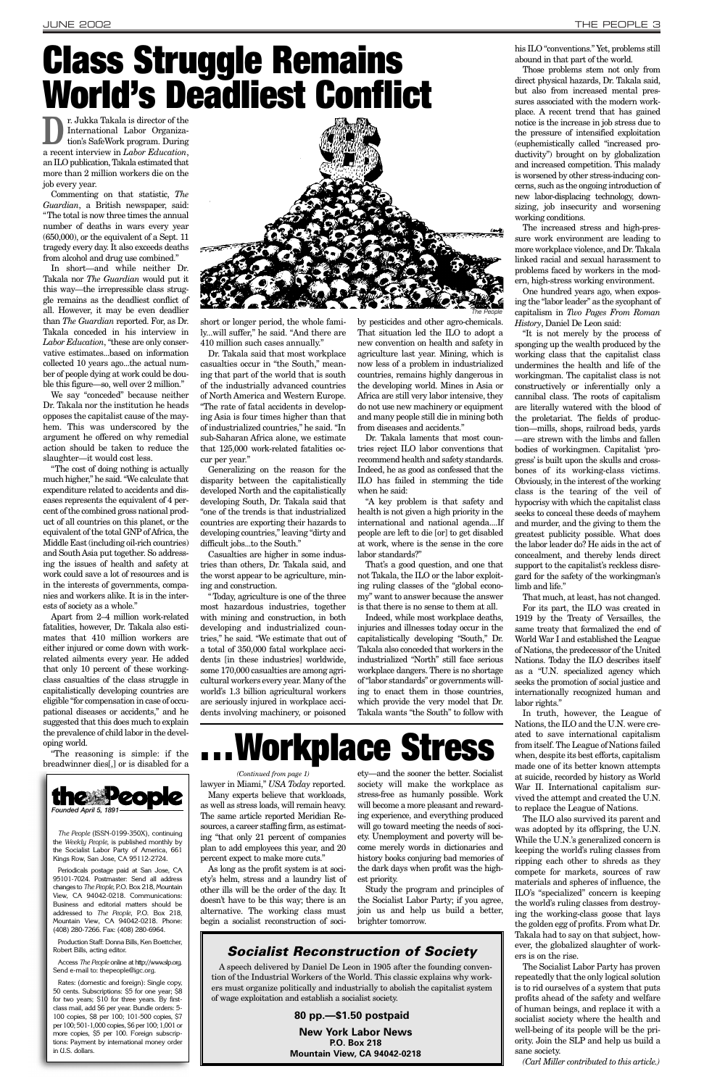**D**r. Jukka Takala is director of the International Labor Organization's SafeWork program. During International Labor Organization's SafeWork program. During a recent interview in *Labor Education*, an ILO publication, Takala estimated that more than 2 million workers die on the job every year.

Commenting on that statistic, *The Guardian*, a British newspaper, said: "The total is now three times the annual number of deaths in wars every year (650,000), or the equivalent of a Sept. 11 tragedy every day. It also exceeds deaths from alcohol and drug use combined."

In short—and while neither Dr. Takala nor *The Guardian* would put it this way—the irrepressible class struggle remains as the deadliest conflict of all. However, it may be even deadlier than *The Guardian* reported. For, as Dr. Takala conceded in his interview in *Labor Education*, "these are only conservative estimates...based on information collected 10 years ago...the actual number of people dying at work could be double this figure—so, well over 2 million."

We say "conceded" because neither Dr. Takala nor the institution he heads opposes the capitalist cause of the mayhem. This was underscored by the argument he offered on why remedial action should be taken to reduce the slaughter—it would cost less.

"The cost of doing nothing is actually much higher," he said. "We calculate that expenditure related to accidents and diseases represents the equivalent of 4 percent of the combined gross national product of all countries on this planet, or the equivalent of the total GNP of Africa, the Middle East (including oil-rich countries) and South Asia put together. So addressing the issues of health and safety at work could save a lot of resources and is in the interests of governments, companies and workers alike. It is in the interests of society as a whole."

Apart from 2–4 million work-related fatalities, however, Dr. Takala also estimates that 410 million workers are either injured or come down with workrelated ailments every year. He added that only 10 percent of these workingclass casualties of the class struggle in capitalistically developing countries are eligible "for compensation in case of occupational diseases or accidents," and he suggested that this does much to explain the prevalence of child labor in the developing world.

"The reasoning is simple: if the breadwinner dies[,] or is disabled for a short or longer period, the whole family...will suffer," he said. "And there are 410 million such cases annually."

Dr. Takala said that most workplace casualties occur in "the South," meaning that part of the world that is south of the industrially advanced countries of North America and Western Europe. "The rate of fatal accidents in developing Asia is four times higher than that of industrialized countries," he said. "In sub-Saharan Africa alone, we estimate that 125,000 work-related fatalities occur per year."

Generalizing on the reason for the disparity between the capitalistically developed North and the capitalistically developing South, Dr. Takala said that "one of the trends is that industrialized countries are exporting their hazards to developing countries," leaving "dirty and difficult jobs...to the South."

Casualties are higher in some industries than others, Dr. Takala said, and the worst appear to be agriculture, mining and construction.

"Today, agriculture is one of the three most hazardous industries, together with mining and construction, in both developing and industrialized countries," he said. "We estimate that out of a total of 350,000 fatal workplace accidents [in these industries] worldwide, some 170,000 casualties are among agricultural workers every year. Many of the world's 1.3 billion agricultural workers are seriously injured in workplace accidents involving machinery, or poisoned by pesticides and other agro-chemicals. That situation led the ILO to adopt a new convention on health and safety in agriculture last year. Mining, which is now less of a problem in industrialized countries, remains highly dangerous in the developing world. Mines in Asia or Africa are still very labor intensive, they do not use new machinery or equipment and many people still die in mining both from diseases and accidents."

Dr. Takala laments that most countries reject ILO labor conventions that recommend health and safety standards. Indeed, he as good as confessed that the ILO has failed in stemming the tide when he said:

"A key problem is that safety and health is not given a high priority in the international and national agenda....If people are left to die [or] to get disabled at work, where is the sense in the core labor standards?"

That's a good question, and one that not Takala, the ILO or the labor exploiting ruling classes of the "global economy" want to answer because the answer is that there is no sense to them at all.

Indeed, while most workplace deaths, injuries and illnesses today occur in the capitalistically developing "South," Dr. Takala also conceded that workers in the industrialized "North" still face serious workplace dangers. There is no shortage of "labor standards" or governments willing to enact them in those countries, which provide the very model that Dr. Takala wants "the South" to follow with his ILO "conventions." Yet, problems still abound in that part of the world.

Access *The People* online at http://www.slp.org. Send e-mail to: thepeople@igc.org.

Those problems stem not only from direct physical hazards, Dr. Takala said, but also from increased mental pressures associated with the modern workplace. A recent trend that has gained notice is the increase in job stress due to the pressure of intensified exploitation (euphemistically called "increased productivity") brought on by globalization and increased competition. This malady is worsened by other stress-inducing concerns, such as the ongoing introduction of new labor-displacing technology, downsizing, job insecurity and worsening working conditions.

The increased stress and high-pressure work environment are leading to more workplace violence, and Dr. Takala linked racial and sexual harassment to problems faced by workers in the modern, high-stress working environment.

One hundred years ago, when exposing the "labor leader" as the sycophant of capitalism in *Two Pages From Roman History*, Daniel De Leon said:

"It is not merely by the process of sponging up the wealth produced by the working class that the capitalist class undermines the health and life of the workingman. The capitalist class is not constructively or inferentially only a cannibal class. The roots of capitalism are literally watered with the blood of the proletariat. The fields of production—mills, shops, railroad beds, yards —are strewn with the limbs and fallen bodies of workingmen. Capitalist 'progress' is built upon the skulls and crossbones of its working-class victims. Obviously, in the interest of the working class is the tearing of the veil of hypocrisy with which the capitalist class seeks to conceal these deeds of mayhem and murder, and the giving to them the greatest publicity possible. What does the labor leader do? He aids in the act of concealment, and thereby lends direct support to the capitalist's reckless disregard for the safety of the workingman's limb and life."

That much, at least, has not changed. For its part, the ILO was created in 1919 by the Treaty of Versailles, the same treaty that formalized the end of World War I and established the League of Nations, the predecessor of the United Nations. Today the ILO describes itself as a "U.N. specialized agency which seeks the promotion of social justice and internationally recognized human and labor rights."

In truth, however, the League of Nations, the ILO and the U.N. were created to save international capitalism from itself. The League of Nations failed when, despite its best efforts, capitalism made one of its better known attempts at suicide, recorded by history as World War II. International capitalism survived the attempt and created the U.N. to replace the League of Nations. The ILO also survived its parent and was adopted by its offspring, the U.N. While the U.N.'s generalized concern is keeping the world's ruling classes from ripping each other to shreds as they compete for markets, sources of raw materials and spheres of influence, the ILO's "specialized" concern is keeping the world's ruling classes from destroying the working-class goose that lays the golden egg of profits. From what Dr. Takala had to say on that subject, however, the globalized slaughter of workers is on the rise. The Socialist Labor Party has proven repeatedly that the only logical solution is to rid ourselves of a system that puts profits ahead of the safety and welfare of human beings, and replace it with a socialist society where the health and well-being of its people will be the priority. Join the SLP and help us build a sane society.

*(Carl Miller contributed to this article.)*

ety—and the sooner the better. Socialist society will make the workplace as stress-free as humanly possible. Work will become a more pleasant and rewarding experience, and everything produced will go toward meeting the needs of society. Unemployment and poverty will become merely words in dictionaries and history books conjuring bad memories of the dark days when profit was the highest priority.

Study the program and principles of the Socialist Labor Party; if you agree, join us and help us build a better, brighter tomorrow.

*The People*

# **Class Struggle Remains World's Deadliest Conflict**

![](_page_2_Picture_10.jpeg)

![](_page_2_Picture_11.jpeg)

*The People* (ISSN-0199-350X), continuing the *Weekly People*, is published monthly by the Socialist Labor Party of America, 661 Kings Row, San Jose, CA 95112-2724.

lawyer in Miami," *USA Today* reported. Many experts believe that workloads, as well as stress loads, will remain heavy. The same article reported Meridian Resources, a career staffing firm, as estimating "that only 21 percent of companies plan to add employees this year, and 20 percent expect to make more cuts." As long as the profit system is at society's helm, stress and a laundry list of other ills will be the order of the day. It doesn't have to be this way; there is an alternative. The working class must begin a socialist reconstruction of soci-*(Continued from page 1)*

Periodicals postage paid at San Jose, CA 95101-7024. Postmaster: Send all address changes to *The People*, P.O. Box 218, Mountain View, CA 94042-0218. Communications: Business and editorial matters should be addressed to *The People*, P.O. Box 218, Mountain View, CA 94042-0218. Phone: (408) 280-7266. Fax: (408) 280-6964.

Production Staff: Donna Bills, Ken Boettcher, Robert Bills, acting editor.

Rates: (domestic and foreign): Single copy, 50 cents. Subscriptions: \$5 for one year; \$8 for two years; \$10 for three years. By firstclass mail, add \$6 per year. Bundle orders: 5- 100 copies, \$8 per 100; 101-500 copies, \$7 per 100; 501-1,000 copies, \$6 per 100; 1,001 or more copies, \$5 per 100. Foreign subscriptions: Payment by international money order in U.S. dollars.

# **. . . Workplace Stress**

### *Socialist Reconstruction of Society*

A speech delivered by Daniel De Leon in 1905 after the founding convention of the Industrial Workers of the World. This classic explains why workers must organize politically and industrially to abolish the capitalist system of wage exploitation and establish a socialist society.

### **80 pp.—\$1.50 postpaid**

**New York Labor News P.O. Box 218 Mountain View, CA 94042-0218**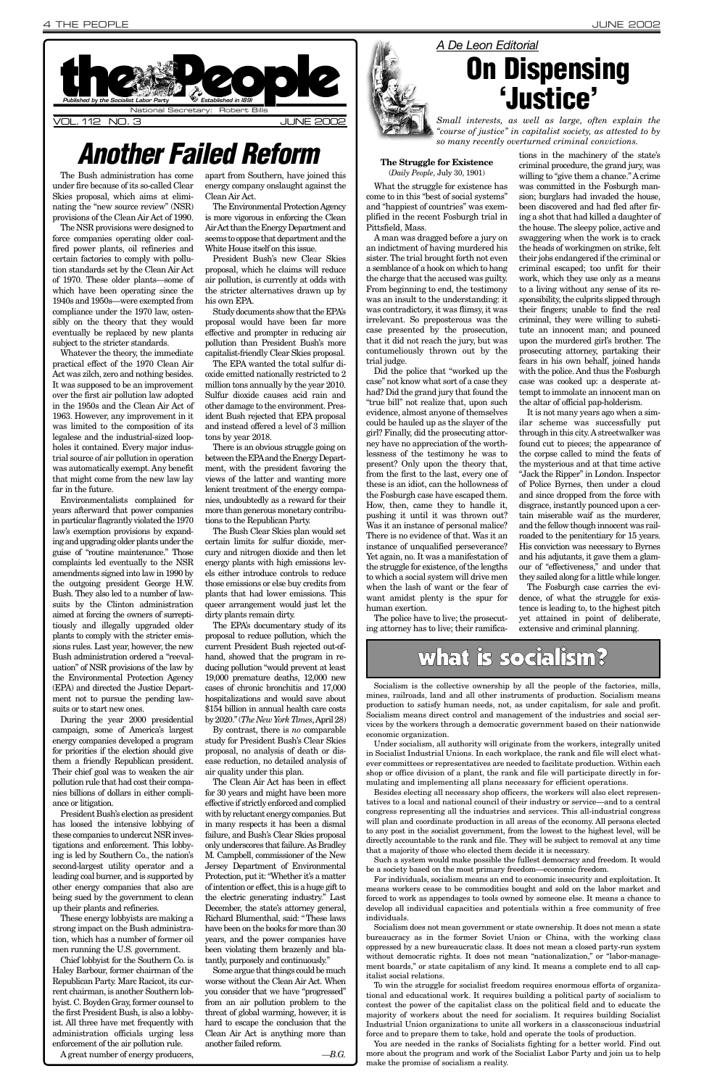The Bush administration has come under fire because of its so-called Clear Skies proposal, which aims at eliminating the "new source review" (NSR) provisions of the Clean Air Act of 1990.

The NSR provisions were designed to force companies operating older coalfired power plants, oil refineries and certain factories to comply with pollution standards set by the Clean Air Act of 1970. These older plants—some of which have been operating since the 1940s and 1950s—were exempted from compliance under the 1970 law, ostensibly on the theory that they would eventually be replaced by new plants subject to the stricter standards.

Whatever the theory, the immediate practical effect of the 1970 Clean Air Act was zilch, zero and nothing besides. It was supposed to be an improvement over the first air pollution law adopted in the 1950s and the Clean Air Act of 1963. However, any improvement in it was limited to the composition of its legalese and the industrial-sized loopholes it contained. Every major industrial source of air pollution in operation was automatically exempt. Any benefit that might come from the new law lay far in the future.

Environmentalists complained for years afterward that power companies in particular flagrantly violated the 1970 law's exemption provisions by expanding and upgrading older plants under the guise of "routine maintenance." Those complaints led eventually to the NSR amendments signed into law in 1990 by the outgoing president George H.W. Bush. They also led to a number of lawsuits by the Clinton administration aimed at forcing the owners of surreptitiously and illegally upgraded older plants to comply with the stricter emissions rules. Last year, however, the new Bush administration ordered a "reevaluation" of NSR provisions of the law by the Environmental Protection Agency (EPA) and directed the Justice Department not to pursue the pending lawsuits or to start new ones.

During the year 2000 presidential campaign, some of America's largest energy companies developed a program for priorities if the election should give them a friendly Republican president. Their chief goal was to weaken the air pollution rule that had cost their companies billions of dollars in either compli-

ance or litigation.

President Bush's election as president has loosed the intensive lobbying of these companies to undercut NSR investigations and enforcement. This lobbying is led by Southern Co., the nation's second-largest utility operator and a leading coal burner, and is supported by other energy companies that also are being sued by the government to clean up their plants and refineries.

These energy lobbyists are making a strong impact on the Bush administration, which has a number of former oil men running the U.S. government.

Chief lobbyist for the Southern Co. is Haley Barbour, former chairman of the Republican Party. Marc Racicot, its current chairman, is another Southern lobbyist. C. Boyden Gray, former counsel to the first President Bush, is also a lobbyist. All three have met frequently with administration officials urging less enforcement of the air pollution rule. A great number of energy producers,

apart from Southern, have joined this energy company onslaught against the Clean Air Act.

The Environmental Protection Agency is more vigorous in enforcing the Clean Air Act than the Energy Department and seems to oppose that department and the White House itself on this issue.

President Bush's new Clear Skies proposal, which he claims will reduce air pollution, is currently at odds with the stricter alternatives drawn up by his own EPA.

Study documents show that the EPA's proposal would have been far more effective and prompter in reducing air pollution than President Bush's more capitalist-friendly Clear Skies proposal.

The EPA wanted the total sulfur dioxide emitted nationally restricted to 2 million tons annually by the year 2010. Sulfur dioxide causes acid rain and other damage to the environment. President Bush rejected that EPA proposal and instead offered a level of 3 million tons by year 2018.

There is an obvious struggle going on between the EPAand the Energy Department, with the president favoring the views of the latter and wanting more lenient treatment of the energy companies, undoubtedly as a reward for their more than generous monetary contributions to the Republican Party.

The Bush Clear Skies plan would set certain limits for sulfur dioxide, mercury and nitrogen dioxide and then let energy plants with high emissions levels either introduce controls to reduce those emissions or else buy credits from plants that had lower emissions. This queer arrangement would just let the dirty plants remain dirty.

![](_page_3_Picture_3.jpeg)

The EPA's documentary study of its proposal to reduce pollution, which the current President Bush rejected out-ofhand, showed that the program in reducing pollution "would prevent at least 19,000 premature deaths, 12,000 new cases of chronic bronchitis and 17,000 hospitalizations and would save about \$154 billion in annual health care costs by 2020." (*The New York Times*, April 28)

By contrast, there is *no* comparable study for President Bush's Clear Skies proposal, no analysis of death or disease reduction, no detailed analysis of air quality under this plan.

The Clean Air Act has been in effect for 30 years and might have been more effective if strictly enforced and complied with by reluctant energy companies. But in many respects it has been a dismal failure, and Bush's Clear Skies proposal only underscores that failure. As Bradley M. Campbell, commissioner of the New Jersey Department of Environmental Protection, put it: "Whether it's a matter of intention or effect, this is a huge gift to the electric generating industry." Last December, the state's attorney general, Richard Blumenthal, said: "These laws have been on the books for more than 30 years, and the power companies have been violating them brazenly and blatantly, purposely and continuously." Some argue that things could be much worse without the Clean Air Act. When you consider that we have "progressed" from an air pollution problem to the threat of global warming, however, it is hard to escape the conclusion that the Clean Air Act is anything more than another failed reform.

![](_page_3_Picture_20.jpeg)

*—B.G.*

### **The Struggle for Existence** (*Daily People*, July 30, 1901)

What the struggle for existence has come to in this "best of social systems" and "happiest of countries" was exemplified in the recent Fosburgh trial in Pittsfield, Mass.

A man was dragged before a jury on an indictment of having murdered his sister. The trial brought forth not even a semblance of a hook on which to hang the charge that the accused was guilty. From beginning to end, the testimony was an insult to the understanding: it was contradictory, it was flimsy, it was irrelevant. So preposterous was the case presented by the prosecution, that it did not reach the jury, but was contumeliously thrown out by the trial judge.

Did the police that "worked up the case" not know what sort of a case they had? Did the grand jury that found the "true bill" not realize that, upon such evidence, almost anyone of themselves could be hauled up as the slayer of the girl? Finally, did the prosecuting attorney have no appreciation of the worthlessness of the testimony he was to present? Only upon the theory that, from the first to the last, every one of these is an idiot, can the hollowness of the Fosburgh case have escaped them. How, then, came they to handle it, pushing it until it was thrown out? Was it an instance of personal malice? There is no evidence of that. Was it an instance of unqualified perseverance? Yet again, no. It was a manifestation of the struggle for existence, of the lengths to which a social system will drive men when the lash of want or the fear of want amidst plenty is the spur for human exertion.

The police have to live; the prosecuting attorney has to live; their ramifications in the machinery of the state's criminal procedure, the grand jury, was willing to "give them a chance." A crime was committed in the Fosburgh mansion; burglars had invaded the house, been discovered and had fled after firing a shot that had killed a daughter of the house. The sleepy police, active and swaggering when the work is to crack the heads of workingmen on strike, felt their jobs endangered if the criminal or criminal escaped; too unfit for their work, which they use only as a means to a living without any sense of its responsibility, the culprits slipped through their fingers; unable to find the real criminal, they were willing to substitute an innocent man; and pounced upon the murdered girl's brother. The prosecuting attorney, partaking their fears in his own behalf, joined hands with the police. And thus the Fosburgh case was cooked up: a desperate attempt to immolate an innocent man on the altar of official pap-holderism.

It is not many years ago when a similar scheme was successfully put through in this city. Astreetwalker was found cut to pieces; the appearance of the corpse called to mind the feats of the mysterious and at that time active "Jack the Ripper" in London. Inspector of Police Byrnes, then under a cloud and since dropped from the force with disgrace, instantly pounced upon a certain miserable waif as the murderer, and the fellow though innocent was railroaded to the penitentiary for 15 years. His conviction was necessary to Byrnes and his adjutants, it gave them a glamour of "effectiveness," and under that they sailed along for a little while longer.

The Fosburgh case carries the evidence, of what the struggle for existence is leading to, to the highest pitch yet attained in point of deliberate, extensive and criminal planning.

## what is socialism?

## *Another Failed Reform*

## **On Dispensing 'Justice'**

*Small interests, as well as large, often explain the "course of justice" in capitalist society, as attested to by so many recently overturned criminal convictions.*

Socialism is the collective ownership by all the people of the factories, mills, mines, railroads, land and all other instruments of production. Socialism means production to satisfy human needs, not, as under capitalism, for sale and profit. Socialism means direct control and management of the industries and social services by the workers through a democratic government based on their nationwide economic organization.

Under socialism, all authority will originate from the workers, integrally united in Socialist Industrial Unions. In each workplace, the rank and file will elect whatever committees or representatives are needed to facilitate production. Within each shop or office division of a plant, the rank and file will participate directly in formulating and implementing all plans necessary for efficient operations.

Besides electing all necessary shop officers, the workers will also elect represen-

tatives to a local and national council of their industry or service—and to a central congress representing all the industries and services. This all-industrial congress will plan and coordinate production in all areas of the economy. All persons elected to any post in the socialist government, from the lowest to the highest level, will be directly accountable to the rank and file. They will be subject to removal at any time that a majority of those who elected them decide it is necessary.

Such a system would make possible the fullest democracy and freedom. It would be a society based on the most primary freedom—economic freedom.

For individuals, socialism means an end to economic insecurity and exploitation. It means workers cease to be commodities bought and sold on the labor market and forced to work as appendages to tools owned by someone else. It means a chance to develop all individual capacities and potentials within a free community of free individuals.

Socialism does not mean government or state ownership. It does not mean a state bureaucracy as in the former Soviet Union or China, with the working class oppressed by a new bureaucratic class. It does not mean a closed party-run system without democratic rights. It does not mean "nationalization," or "labor-management boards," or state capitalism of any kind. It means a complete end to all capitalist social relations.

To win the struggle for socialist freedom requires enormous efforts of organizational and educational work. It requires building a political party of socialism to contest the power of the capitalist class on the political field and to educate the majority of workers about the need for socialism. It requires building Socialist Industrial Union organizations to unite all workers in a classconscious industrial force and to prepare them to take, hold and operate the tools of production.

You are needed in the ranks of Socialists fighting for a better world. Find out more about the program and work of the Socialist Labor Party and join us to help make the promise of socialism a reality.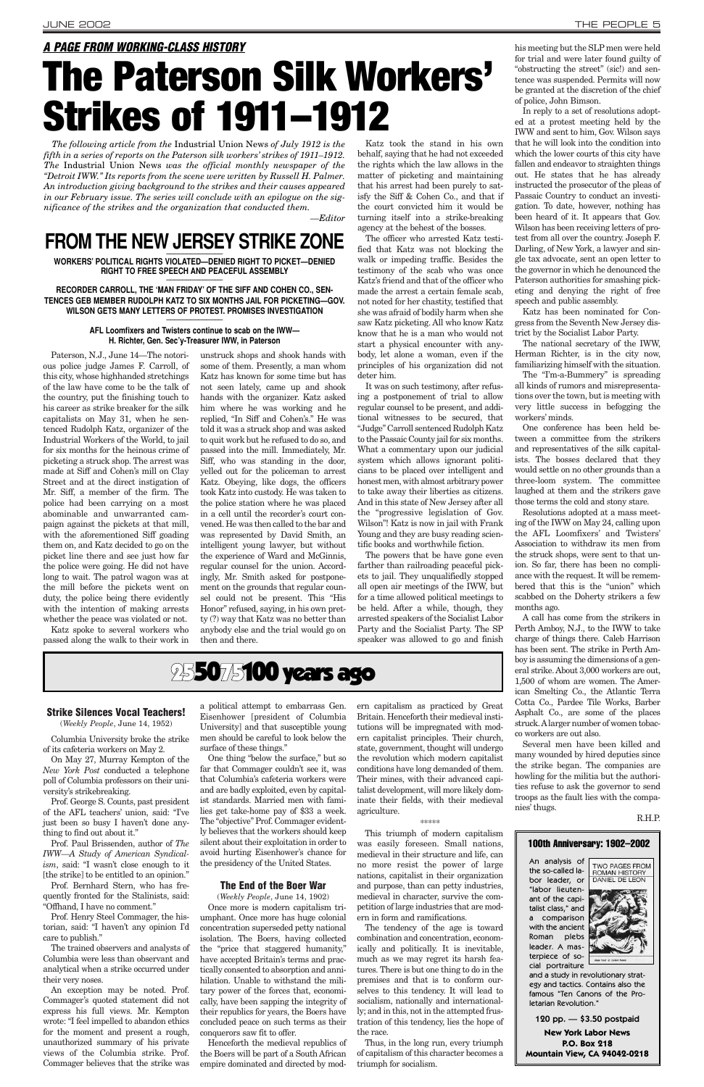Paterson, N.J., June 14—The notorious police judge James F. Carroll, of this city, whose highhanded stretchings of the law have come to be the talk of the country, put the finishing touch to his career as strike breaker for the silk capitalists on May 31, when he sentenced Rudolph Katz, organizer of the Industrial Workers of the World, to jail for six months for the heinous crime of picketing a struck shop. The arrest was made at Siff and Cohen's mill on Clay Street and at the direct instigation of Mr. Siff, a member of the firm. The police had been carrying on a most abominable and unwarranted campaign against the pickets at that mill, with the aforementioned Siff goading them on, and Katz decided to go on the picket line there and see just how far the police were going. He did not have long to wait. The patrol wagon was at the mill before the pickets went on duty, the police being there evidently with the intention of making arrests whether the peace was violated or not.

Katz spoke to several workers who passed along the walk to their work in unstruck shops and shook hands with some of them. Presently, a man whom Katz has known for some time but has not seen lately, came up and shook hands with the organizer. Katz asked him where he was working and he replied, "In Siff and Cohen's." He was told it was a struck shop and was asked to quit work but he refused to do so, and passed into the mill. Immediately, Mr. Siff, who was standing in the door, yelled out for the policeman to arrest Katz. Obeying, like dogs, the officers took Katz into custody. He was taken to the police station where he was placed in a cell until the recorder's court convened. He was then called to the bar and was represented by David Smith, an intelligent young lawyer, but without the experience of Ward and McGinnis, regular counsel for the union. Accordingly, Mr. Smith asked for postponement on the grounds that regular counsel could not be present. This "His Honor" refused, saying, in his own pretty (?) way that Katz was no better than anybody else and the trial would go on then and there.

Katz took the stand in his own behalf, saying that he had not exceeded the rights which the law allows in the matter of picketing and maintaining that his arrest had been purely to satisfy the Siff & Cohen Co., and that if the court convicted him it would be turning itself into a strike-breaking agency at the behest of the bosses.

The officer who arrested Katz testified that Katz was not blocking the walk or impeding traffic. Besides the testimony of the scab who was once Katz's friend and that of the officer who made the arrest a certain female scab, not noted for her chastity, testified that she was afraid of bodily harm when she saw Katz picketing. All who know Katz know that he is a man who would not start a physical encounter with anybody, let alone a woman, even if the principles of his organization did not deter him.

It was on such testimony, after refusing a postponement of trial to allow regular counsel to be present, and additional witnesses to be secured, that "Judge" Carroll sentenced Rudolph Katz to the Passaic County jail for six months. What a commentary upon our judicial system which allows ignorant politicians to be placed over intelligent and honest men, with almost arbitrary power to take away their liberties as citizens. And in this state of New Jersey after all the "progressive legislation of Gov. Wilson"! Katz is now in jail with Frank Young and they are busy reading scientific books and worthwhile fiction.

The powers that be have gone even farther than railroading peaceful pickets to jail. They unqualifiedly stopped all open air meetings of the IWW, but for a time allowed political meetings to be held. After a while, though, they arrested speakers of the Socialist Labor Party and the Socialist Party. The SP speaker was allowed to go and finish

## 25**5075100 years ago**

his meeting but the SLP men were held for trial and were later found guilty of "obstructing the street" (sic!) and sentence was suspended. Permits will now be granted at the discretion of the chief of police, John Bimson.

In reply to a set of resolutions adopted at a protest meeting held by the IWW and sent to him, Gov. Wilson says that he will look into the condition into which the lower courts of this city have fallen and endeavor to straighten things out. He states that he has already instructed the prosecutor of the pleas of Passaic Country to conduct an investigation. To date, however, nothing has been heard of it. It appears that Gov. Wilson has been receiving letters of protest from all over the country. Joseph F. Darling, of New York, a lawyer and single tax advocate, sent an open letter to the governor in which he denounced the Paterson authorities for smashing picketing and denying the right of free speech and public assembly.

Katz has been nominated for Congress from the Seventh New Jersey district by the Socialist Labor Party.

The national secretary of the IWW, Herman Richter, is in the city now, familiarizing himself with the situation.

The "I'm-a-Bummery" is spreading all kinds of rumors and misrepresentations over the town, but is meeting with very little success in befogging the workers' minds.

One conference has been held between a committee from the strikers and representatives of the silk capitalists. The bosses declared that they would settle on no other grounds than a three-loom system. The committee laughed at them and the strikers gave those terms the cold and stony stare.

### **RECORDER CARROLL, THE 'MAN FRIDAY' OF THE SIFF AND COHEN CO., SEN-TENCES GEB MEMBER RUDOLPH KATZ TO SIX MONTHS JAIL FOR PICKETING—GOV.** WILSON GETS MANY LETTERS OF PROTEST. PROMISES INVESTIGATION

Resolutions adopted at a mass meeting of the IWW on May 24, calling upon the AFL Loomfixers' and Twisters' Association to withdraw its men from the struck shops, were sent to that union. So far, there has been no compliance with the request. It will be remembered that this is the "union" which scabbed on the Doherty strikers a few months ago.

A call has come from the strikers in Perth Amboy, N.J., to the IWW to take charge of things there. Caleb Harrison has been sent. The strike in Perth Amboy is assuming the dimensions of a general strike. About 3,000 workers are out, 1,500 of whom are women. The American Smelting Co., the Atlantic Terra Cotta Co., Pardee Tile Works, Barber Asphalt Co., are some of the places struck. Alarger number of women tobacco workers are out also.

Several men have been killed and many wounded by hired deputies since the strike began. The companies are howling for the militia but the authorities refuse to ask the governor to send troops as the fault lies with the companies' thugs.

R.H.P.

### **Strike Silences Vocal Teachers!**

(*Weekly People*, June 14, 1952)

Columbia University broke the strike of its cafeteria workers on May 2.

On May 27, Murray Kempton of the *New York Post* conducted a telephone poll of Columbia professors on their university's strikebreaking.

Prof. George S. Counts, past president of the AFL teachers' union, said: "I've just been so busy I haven't done anything to find out about it."

Prof. Paul Brissenden, author of *The IWW—A Study of American Syndicalism*, said: "I wasn't close enough to it [the strike] to be entitled to an opinion."

Prof. Bernhard Stern, who has frequently fronted for the Stalinists, said: "Offhand, I have no comment."

Prof. Henry Steel Commager, the historian, said: "I haven't any opinion I'd care to publish."

The trained observers and analysts of Columbia were less than observant and analytical when a strike occurred under their very noses.

An exception may be noted. Prof. Commager's quoted statement did not express his full views. Mr. Kempton wrote: "I feel impelled to abandon ethics for the moment and present a rough, unauthorized summary of his private views of the Columbia strike. Prof. Commager believes that the strike was a political attempt to embarrass Gen. Eisenhower [president of Columbia University] and that susceptible young men should be careful to look below the surface of these things."

One thing "below the surface," but so far that Commager couldn't see it, was that Columbia's cafeteria workers were and are badly exploited, even by capitalist standards. Married men with families get take-home pay of \$33 a week. The "objective" Prof. Commager evidently believes that the workers should keep silent about their exploitation in order to avoid hurting Eisenhower's chance for the presidency of the United States.

### **The End of the Boer War**

(*Weekly People*, June 14, 1902)

Once more is modern capitalism triumphant. Once more has huge colonial concentration superseded petty national isolation. The Boers, having collected the "price that staggered humanity," have accepted Britain's terms and practically consented to absorption and annihilation. Unable to withstand the military power of the forces that, economically, have been sapping the integrity of their republics for years, the Boers have concluded peace on such terms as their conquerors saw fit to offer.

Henceforth the medieval republics of the Boers will be part of a South African empire dominated and directed by modern capitalism as practiced by Great Britain. Henceforth their medieval institutions will be impregnated with modern capitalist principles. Their church, state, government, thought will undergo the revolution which modern capitalist conditions have long demanded of them. Their mines, with their advanced capitalist development, will more likely dom-

inate their fields, with their medieval agriculture.

#### \*\*\*\*\*

This triumph of modern capitalism was easily foreseen. Small nations, medieval in their structure and life, can no more resist the power of large nations, capitalist in their organization and purpose, than can petty industries, medieval in character, survive the competition of large industries that are modern in form and ramifications.

The tendency of the age is toward combination and concentration, economically and politically. It is inevitable, much as we may regret its harsh features. There is but one thing to do in the premises and that is to conform ourselves to this tendency. It will lead to socialism, nationally and internationally; and in this, not in the attempted frustration of this tendency, lies the hope of the race.

Thus, in the long run, every triumph of capitalism of this character becomes a triumph for socialism.

## *A PAGE FROM WORKING-CLASS HISTORY* **The Paterson Silk Workers' Strikes of 1911–1912**

*The following article from the* Industrial Union News *of July 1912 is the fifth in a series of reports on the Paterson silk workers' strikes of 1911–1912. The* Industrial Union News *was the official monthly newspaper of the "Detroit IWW." Its reports from the scene were written by Russell H. Palmer. An introduction giving background to the strikes and their causes appeared in our February issue. The series will conclude with an epilogue on the significance of the strikes and the organization that conducted them.*

*—Editor*

## FROM THE NEW JERSEY STRIKE ZONE

**WORKERS' POLITICAL RIGHTS VIOLATED—DENIED RIGHT TO PICKET—DENIED RIGHT TO FREE SPEECH AND PEACEFUL ASSEMBLY** \_\_\_\_\_\_\_\_\_\_\_\_\_\_

### **AFL Loomfixers and Twisters continue to scab on the IWW— H. Richter, Gen. Sec'y-Treasurer IWW, in Paterson**

and a study in revolutionary strategy and tactics. Contains also the famous "Ten Canons of the Proletarian Revolution."

### 100th Anniversary: 1902–2002An analysis of TWO PAGES FROM the so-called labor leader, or "labor lieutenant of the capitalist class," and a comparison with the ancient Roman plebs leader. A masterpiece of social portraiture

![](_page_4_Picture_50.jpeg)

120 pp. — \$3.50 postpaid **New York Labor News P.O. Box 218 Mountain View, CA 94042-0218**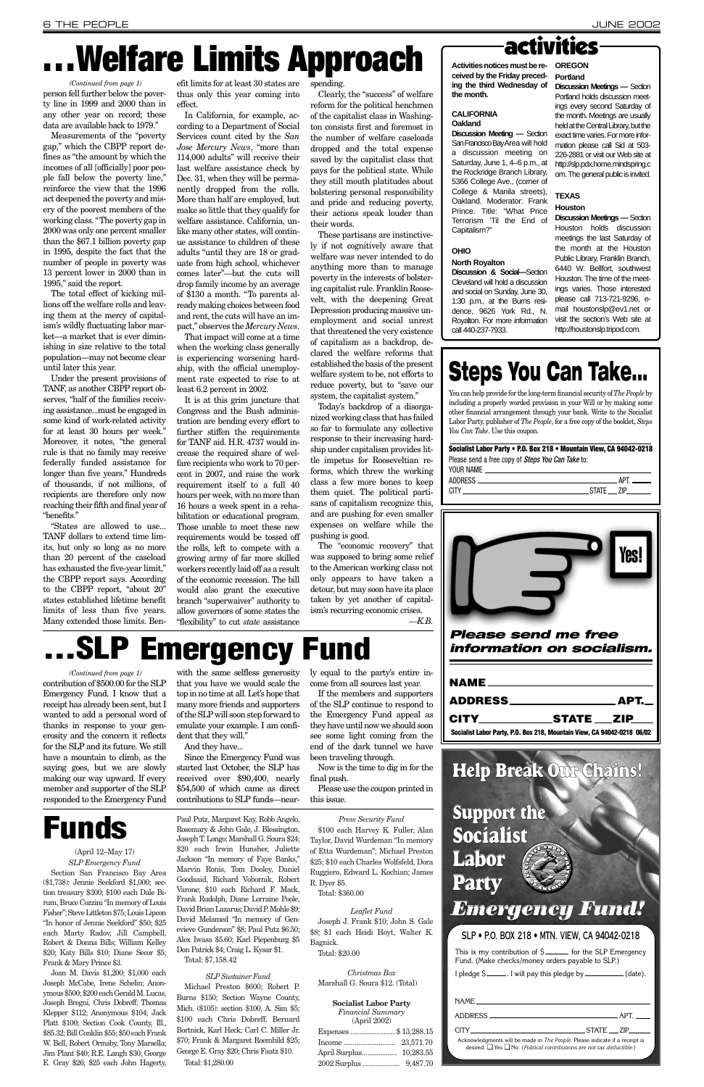(April 12–May 17) *SLP Emergency Fund* Section San Francisco Bay Area (\$1,738): Jennie Seekford \$1,000; section treasury \$300; \$100 each Dale Birum, Bruce Cozzini "In memory of Louis Fisher"; Steve Littleton \$75; LouisLipcon "In honor of Jennie Seekford" \$50; \$25 each Marty Radov, Jill Campbell, Robert & Donna Bills; William Kelley \$20; Katy Bills \$10; Diane Secor \$5; Frank & Mary Prince \$3.

Joan M. Davis \$1,200; \$1,000 each Joseph McCabe, Irene Schelin; Anonymous \$500; \$200 each Gerald M. Lucas, Joseph Bregni, Chris Dobreff; Thomas Klepper \$112; Anonymous \$104; Jack Platt \$100; Section Cook County, Ill., \$85.32; Bill Conklin \$55; \$50 each Frank W. Bell, Robert Ormsby, Tony Marsella; Jim Plant \$40; R.E. Langh \$30; George E. Gray \$26; \$25 each John Hagerty,

Paul Putz, Margaret Kay, Robb Angelo, Rosemary & John Gale, J. Blessington, Joseph T. Longo; Marshall G. Soura \$24; \$20 each Irwin Hunsher, Juliette Jackson "In memory of Faye Banks," Marvin Ronis, Tom Dooley, Daniel Goodsaid, Richard Vobornik, Robert Varone; \$10 each Richard F. Mack, Frank Rudolph, Diane Lorraine Poole, David Brian Lazarus; David P. Mohle \$9; David Melamed "In memory of Genevieve Gunderson" \$8; Paul Putz \$6.50; Alex Iwasa \$5.60; Karl Piepenburg \$5 Don Patrick \$4; Craig L. Kysar \$1. Total: \$7,158.42

### *SLP Sustainer Fund*

Michael Preston \$600; Robert P. Burns \$150; Section Wayne County, Mich. (\$105): section \$100, A. Sim \$5; \$100 each Chris Dobreff, Bernard Bortnick, Karl Heck; Carl C. Miller Jr. \$70; Frank & Margaret Roemhild \$25; George E. Gray \$20; Chris Faatz \$10. Total: \$1,280.00

*Press Security Fund*

\$100 each Harvey K. Fuller, Alan Taylor, David Wurdeman "In memory of Etta Wurdeman"; Michael Preston \$25; \$10 each Charles Wolfsfeld, Dora Ruggiero, Edward L. Kochian; James R. Dyer \$5.

Total: \$360.00

### *Leaflet Fund*

Joseph J. Frank \$10; John S. Gale \$8; \$1 each Heidi Hoyt, Walter K. Bagnick. Total: \$20.00

*Christmas Box* Marshall G. Soura \$12. (Total)

### **Socialist Labor Party**

*Financial Summary* (April 2002)

| Expenses  \$13,288.15 |          |
|-----------------------|----------|
|                       |          |
|                       |          |
| 2002 Surplus          | 9,487.70 |

Measurements of the "poverty gap," which the CBPP report defines as "the amount by which the incomes of all [officially] poor people fall below the poverty line," reinforce the view that the 1996 act deepened the poverty and misery of the poorest members of the working class. "The poverty gap in 2000 was only one percent smaller than the \$67.1 billion poverty gap in 1995, despite the fact that the number of people in poverty was 13 percent lower in 2000 than in 1995," said the report.

The total effect of kicking millions off the welfare rolls and leaving them at the mercy of capitalism's wildly fluctuating labor market—a market that is ever diminishing in size relative to the total population—may not become clear until later this year.

Under the present provisions of TANF, as another CBPP report observes, "half of the families receiving assistance...must be engaged in some kind of work-related activity for at least 30 hours per week." Moreover, it notes, "the general rule is that no family may receive federally funded assistance for longer than five years." Hundreds of thousands, if not millions, of recipients are therefore only now reaching their fifth and final year of "benefits."

"States are allowed to use... TANF dollars to extend time limits, but only so long as no more than 20 percent of the caseload has exhausted the five-year limit," the CBPP report says. According to the CBPP report, "about 20" states established lifetime benefit limits of less than five years. Many extended those limits. Ben-

efit limits for at least 30 states are spending. thus only this year coming into effect.

In California, for example, according to a Department of Social Services count cited by the *San Jose Mercury News*, "more than 114,000 adults" will receive their last welfare assistance check by Dec. 31, when they will be permanently dropped from the rolls. More than half are employed, but make so little that they qualify for welfare assistance. California, unlike many other states, will continue assistance to children of these adults "until they are 18 or graduate from high school, whichever comes later"—but the cuts will drop family income by an average of \$130 a month. "To parents already making choices between food and rent, the cuts will have an impact," observes the *Mercury News*.

**Discussion Meeting — Section** San Francisco Bay Area will hold a discussion meeting on Saturday, June 1, 4–6 p.m., at the Rockridge Branch Library, 5366 College Ave., (corner of College & Manila streets), Oakland. Moderator: Frank Prince. Title: "What Price Terrorism 'Til the End of Capitalism?"

That impact will come at a time when the working class generally is experiencing worsening hardship, with the official unemployment rate expected to rise to at least 6.2 percent in 2002.

### **Socialist Labor Party • P.O. Box 218 • Mountain View, CA 94042-0218** Please send a free copy of *Steps You Can Take* to: YOUR NAME

It is at this grim juncture that Congress and the Bush administration are bending every effort to further stiffen the requirements for TANF aid. H.R. 4737 would increase the required share of welfare recipients who work to 70 percent in 2007, and raise the work requirement itself to a full 40 hours per week, with no more than 16 hours a week spent in a rehabilitation or educational program. Those unable to meet these new requirements would be tossed off the rolls, left to compete with a growing army of far more skilled workers recently laid off as a result of the economic recession. The bill would also grant the executive branch "superwaiver" authority to allow governors of some states the "flexibility" to cut *state* assistance

This is my contribution of  $$$  for the SLP Emergency Fund. (Make checks/money orders payable to SLP.)

|  | I pledge \$ <sub>—</sub> |  | (data). |
|--|--------------------------|--|---------|
|--|--------------------------|--|---------|

person fell further below the poverty line in 1999 and 2000 than in any other year on record; these data are available back to 1979." *(Continued from page 1)*

Clearly, the "success" of welfare reform for the political henchmen of the capitalist class in Washington consists first and foremost in the number of welfare caseloads dropped and the total expense saved by the capitalist class that pays for the political state. While they still mouth platitudes about bolstering personal responsibility and pride and reducing poverty, their actions speak louder than their words.

These partisans are instinctively if not cognitively aware that welfare was never intended to do anything more than to manage poverty in the interests of bolstering capitalist rule. Franklin Roosevelt, with the deepening Great Depression producing massive unemployment and social unrest that threatened the very existence of capitalism as a backdrop, declared the welfare reforms that established the basis of the present welfare system to be, not efforts to reduce poverty, but to "save our system, the capitalist system."

Today's backdrop of a disorganized working class that has failed so far to formulate any collective response to their increasing hardship under capitalism provides little impetus for Rooseveltian reforms, which threw the working class a few more bones to keep them quiet. The political partisans of capitalism recognize this, and are pushing for even smaller expenses on welfare while the pushing is good.

The "economic recovery" that was supposed to bring some relief to the American working class not only appears to have taken a detour, but may soon have its place taken by yet another of capitalism's recurring economic crises. *—K.B.*

# **. Welfare Limits Approach**

*Please send me free information on socialism.*

| NAME <b>NAME</b>                                                        |  |
|-------------------------------------------------------------------------|--|
|                                                                         |  |
| CITY STATE ZIP                                                          |  |
| Socialist Labor Party, P.O. Box 218, Mountain View, CA 94042-0218 06/02 |  |

## **Emergency Fund**

with the same selfless generosity that you have we would scale the top in no time at all. Let's hope that many more friends and supporters of the SLPwill soon step forward to emulate your example. I am confident that they will."

contribution of \$500.00 for the SLP Emergency Fund. I know that a receipt has already been sent, but I wanted to add a personal word of thanks in response to your generosity and the concern it reflects for the SLP and its future. We still *(Continued from page 1)*

And they have...

have a mountain to climb, as the saying goes, but we are slowly making our way upward. If every member and supporter of the SLP responded to the Emergency Fund contributions to SLP funds—near-Since the Emergency Fund was started last October, the SLP has received over \$90,400, nearly \$54,500 of which came as direct final push. this issue.

ly equal to the party's entire income from all sources last year.

If the members and supporters of the SLP continue to respond to the Emergency Fund appeal as they have until now we should soon see some light coming from the end of the dark tunnel we have been traveling through.

Now is the time to dig in for the

Please use the coupon printed in

### **CALIFORNIA Oakland**

**Activities notices must be received by the Friday preceding the third Wednesday of the month. OREGON Portland**

### **OHIO**

## **North Royalton**

**Discussion & Social—**Section

Cleveland will hold a discussion and social on Sunday, June 30, 1:30 p.m., at the Burns resicall 440-237-7933.

dence, 9626 York Rd., N. Royalton. For more information

**Discussion Meetings —** Section Portland holds discussion meetings every second Saturday of the month. Meetings are usually held at the Central Library, but the exact time varies. For more information please call Sid at 503- 226-2881 or visit our Web site at http://slp.pdx.home.mindspring.c om. The general public is invited.

### **TEXAS**

### **Houston**

**Discussion Meetings —** Section Houston holds discussion meetings the last Saturday of the month at the Houston Public Library, Franklin Branch, 6440 W. Bellfort, southwest Houston. The time of the meetings varies. Those interested please call 713-721-9296, email houstonslp@ev1.net or visit the section's Web site at http://houstonslp.tripod.com.

# **Steps You Can Take...**

You can help provide for the long-term financial security of *The People* by including a properly worded provision in your Will or by making some other financial arrangement through your bank. Write to the Socialist Labor Party, publisher of *The People*, for a free copy of the booklet, *Steps You Can Take*. Use this coupon.

![](_page_5_Figure_31.jpeg)

![](_page_5_Picture_32.jpeg)

### SLP • P.O. BOX 218 • MTN. VIEW, CA 94042-0218

**Help Break Our Chains!**

**Support the**

**Socialist**

### **Labor Party** *Emergency Fund!*

|                                                                                                                                                                 |  | _STATE ___ ZIP_ |  |  |  |
|-----------------------------------------------------------------------------------------------------------------------------------------------------------------|--|-----------------|--|--|--|
| Acknowledgments will be made in The People. Please indicate if a receipt is<br>desired: $\Box$ Yes $\Box$ No. (Political contributions are not tax deductible.) |  |                 |  |  |  |

## **Funds**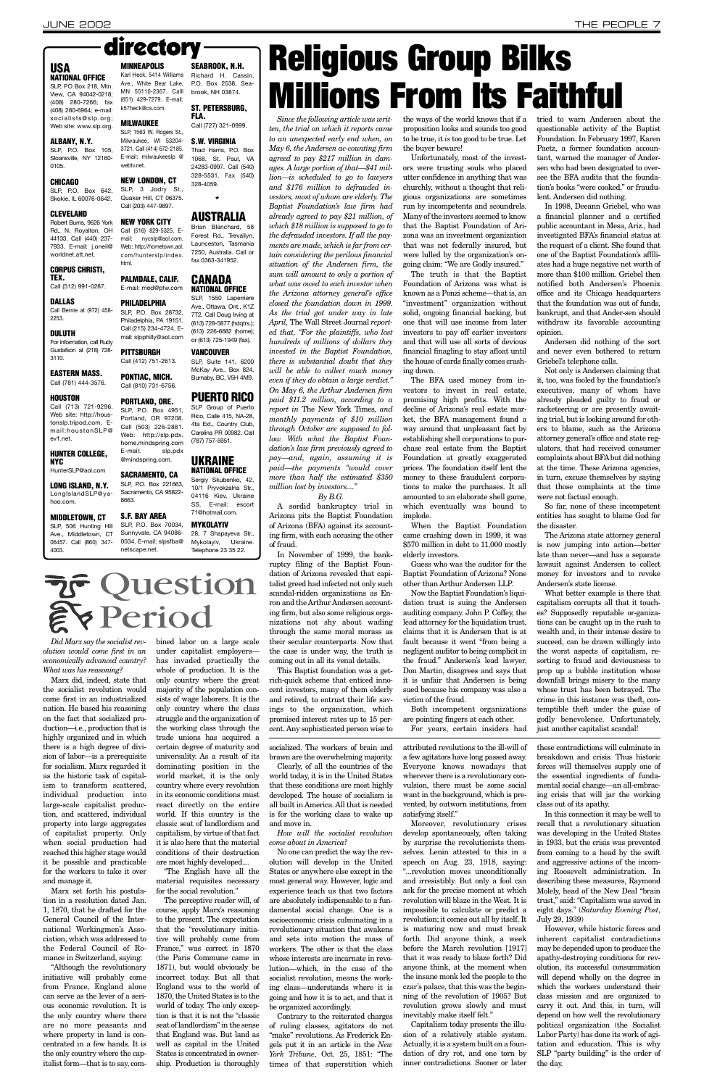*Did Marx say the socialist revolution would come first in an economically advanced country? What was his reasoning?*

Marx did, indeed, state that the socialist revolution would come first in an industrialized nation. He based his reasoning on the fact that socialized production—i.e., production that is highly organized and in which there is a high degree of division of labor—is a prerequisite for socialism. Marx regarded it as the historic task of capitalism to transform scattered, individual production into large-scale capitalist production, and scattered, individual property into large aggregates of capitalist property. Only when social production had reached this higher stage would it be possible and practicable for the workers to take it over and manage it.

Marx set forth his postulation in a resolution dated Jan. 1, 1870, that he drafted for the General Council of the International Workingmen's Association, which was addressed to the Federal Council of Romance in Switzerland, saying:

"Although the revolutionary initiative will probably come from France, England alone can serve as the lever of a serious economic revolution. It is the only country where there are no more peasants and where property in land is concentrated in a few hands. It is the only country where the capitalist form—that is to say, combined labor on a large scale under capitalist employers has invaded practically the whole of production. It is the only country where the great majority of the population consists of wage laborers. It is the only country where the class struggle and the organization of the working class through the trade unions has acquired a certain degree of maturity and universality. As a result of its dominating position in the world market, it is the only country where every revolution in its economic conditions must

react directly on the entire world. If this country is the classic seat of landlordism and capitalism, by virtue of that fact it is also here that the material conditions of their destruction are most highly developed....

"The English have all the material requisites necessary for the social revolution."

The perceptive reader will, of course, apply Marx's reasoning to the present. The expectation that the "revolutionary initiative will probably come from France," was correct in 1870 (the Paris Commune came in 1871), but would obviously be incorrect today. But all that England was to the world of 1870, the United States is to the world of today. The only exception is that it is not the "classic seat of landlordism" in the sense that England was. But land as well as capital in the United States is concentrated in ownership. Production is thoroughly

*Since the following article was written, the trial on which it reports came to an unexpected early end when, on May 6, the Andersen ac-counting firm agreed to pay \$217 million in damages. A large portion of that—\$41 million—is scheduled to go to lawyers and \$176 million to defrauded investors, most of whom are elderly. The Baptist Foundation's law firm had already agreed to pay \$21 million, of which \$18 million is supposed to go to the defrauded investors. If all the payments are made, which is far from certain considering the perilous financial situation of the Andersen firm, the sum will amount to only a portion of what was owed to each investor when the Arizona attorney general's office closed the foundation down in 1999. As the trial got under way in late April,* The Wall Street Journal *reported that, "For the plaintiffs, who lost hundreds of millions of dollars they invested in the Baptist Foundation, there is substantial doubt that they will be able to collect much money even if they do obtain a large verdict." On May 6, the Arthur Andersen firm paid \$11.2 million, according to a report in* The New York Times*, and monthly payments of \$10 million through October are supposed to follow. With what the Baptist Foundation's law firm previously agreed to pay—and, again, assuming it is paid—the payments "would cover more than half the estimated \$350 million lost by investors...."* 

*By B.G.*

A sordid bankruptcy trial in Arizona pits the Baptist Foundation of Arizona (BFA) against its accounting firm, with each accusing the other of fraud.

In November of 1999, the bankruptcy filing of the Baptist Foundation of Arizona revealed that capitalist greed had infected not only such scandal-ridden organizations as Enron and the Arthur Andersen accounting firm, but also some religious organizations not shy about wading through the same moral morass as their secular counterparts. Now that the case is under way, the truth is coming out in all its venal details.

SLP, P.O. Box 105, Sloansville, NY 12160- 0105.

SLP, P.O. Box 642, Skokie, IL 60076-0642.

> This Baptist foundation was a getrich-quick scheme that enticed innocent investors, many of them elderly and retired, to entrust their life savings to the organization, which promised interest rates up to 15 percent. Any sophisticated person wise to

the ways of the world knows that if a proposition looks and sounds too good to be true, it *is* too good to be true. Let the buyer beware!

Unfortunately, most of the investors were trusting souls who placed utter confidence in anything that was churchly, without a thought that religious organizations are sometimes run by incompetents and scoundrels. Many of the investors seemed to know that the Baptist Foundation of Arizona was an investment organization that was not federally insured, but were lulled by the organization's ongoing claim: "We are Godly insured."

The truth is that the Baptist Foundation of Arizona was what is known as a Ponzi scheme—that is, an "investment" organization without solid, ongoing financial backing, but one that will use income from later investors to pay off earlier investors and that will use all sorts of devious financial finagling to stay afloat until the house of cards finally comes crashing down.

The BFA used money from investors to invest in real estate, promising high profits. With the decline of Arizona's real estate market, the BFA management found a way around that unpleasant fact by establishing shell corporations to purchase real estate from the Baptist Foundation at greatly exaggerated prices. The foundation itself lent the money to these fraudulent corporations to make the purchases. It all amounted to an elaborate shell game, which eventually was bound to implode.

When the Baptist Foundation came crashing down in 1999, it was \$570 million in debt to 11,000 mostly elderly investors.

Guess who was the auditor for the Baptist Foundation of Arizona? None other than Arthur Andersen LLP.

Now the Baptist Foundation's liquidation trust is suing the Andersen auditing company. John P. Coffey, the lead attorney for the liquidation trust, claims that it is Andersen that is at fault because it went "from being a negligent auditor to being complicit in the fraud." Andersen's lead lawyer, Don Martin, disagrees and says that it is unfair that Andersen is being sued because his company was also a victim of the fraud.

Both incompetent organizations are pointing fingers at each other. For years, certain insiders had

tried to warn Andersen about the questionable activity of the Baptist Foundation. In February 1997, Karen Paetz, a former foundation accountant, warned the manager of Andersen who had been designated to oversee the BFA audits that the foundation's books "were cooked," or fraudulent. Andersen did nothing.

In 1998, Deeann Griebel, who was a financial planner and a certified public accountant in Mesa, Ariz., had investigated BFA's financial status at the request of a client. She found that one of the Baptist Foundation's affiliates had a huge negative net worth of more than \$100 million. Griebel then notified both Andersen's Phoenix office and its Chicago headquarters that the foundation was out of funds, bankrupt, and that Ander-sen should withdraw its favorable accounting opinion.

Andersen did nothing of the sort and never even bothered to return Griebel's telephone calls.

Not only is Andersen claiming that it, too, was fooled by the foundation's executives, many of whom have already pleaded guilty to fraud or racketeering or are presently awaiting trial, but is looking around for others to blame, such as the Arizona attorney general's office and state regulators, that had received consumer complaints about BFAbut did nothing at the time. These Arizona agencies, in turn, excuse themselves by saying that those complaints at the time were not factual enough.

So far, none of these incompetent entities has sought to blame God for the disaster.

The Arizona state attorney general is now jumping into action—better late than never—and has a separate lawsuit against Andersen to collect money for investors and to revoke Andersen's state license.

What better example is there that capitalism corrupts all that it touches? Supposedly reputable or-ganizations can be caught up in the rush to wealth and, in their intense desire to succeed, can be drawn willingly into the worst aspects of capitalism, resorting to fraud and deviousness to prop up a bubble institution whose downfall brings misery to the many whose trust has been betrayed. The crime in this instance was theft, contemptible theft under the guise of godly benevolence. Unfortunately, just another capitalist scandal!

### **USA NATIONAL OFFICE**

SLP, PO Box 218, Mtn. View, CA 94042-0218; (408) 280-7266; fax (408) 280-6964; e-mail: socialists@slp.org; Web site: www.slp.org.

### **ALBANY, N.Y.**

### **CHICAGO**

### **CLEVELAND**

Robert Burns, 9626 York Rd., N. Royalton, OH 44133. Call (440) 237- 7933. E-mail: j.oneil@ worldnet.att.net.

#### **CORPUS CHRISTI, TEX.**

Call (512) 991-0287.

### directory **MINNEAPOLIS**

### **DALLAS**

Call Bernie at (972) 458- 2253.

#### **DULUTH** For information, call Rudy Gustafson at (218) 728- 3110.

**EASTERN MASS.** Call (781) 444-3576.

### **HOUSTON**

Call (713) 721-9296. Web site: http://houstonslp.tripod.com. Email:houstonSLP@ ev1.net.

### **HUNTER COLLEGE, NYC**

HunterSLP@aol.com **LONG ISLAND, N.Y.**

LongIslandSLP@yahoo.com.

**MIDDLETOWN, CT** SLP, 506 Hunting Hill Ave., Middletown, CT 06457. Call (860) 347-

4003.

**MILWAUKEE** SLP, 1563 W. Rogers St., Milwaukee, WI 53204- 3721. Call (414) 672-2185. E-mail: milwaukeeslp @

webtv.net.

**NEW LONDON, CT** SLP, 3 Jodry St., Quaker Hill, CT 06375. Call (203) 447-9897. **NEW YORK CITY** Call (516) 829-5325. E-

Web: http://hometown.aol.

html.

**PHILADELPHIA**

Karl Heck, 5414 Williams Ave., White Bear Lake, MN 55110-2367. Calll (651) 429-7279. E-mail: k57heck@cs.com. Richard H. Cassin, P.O. Box 2538, Seabrook, NH 03874.

**PITTSBURGH** Call (412) 751-2613.

**PONTIAC, MICH.** Call (810) 731-6756.

### **PORTLAND, ORE.**

E-mail: slp.pdx @mindspring.com. **SACRAMENTO, CA** SLP, P.O. Box 221663, Sacramento, CA 95822-

mail: nycslp@aol.com. com/hunterslp/index. Launceston, Tasmania 7250, Australia. Call or fax 0363-341952.

8663.

#### **PALMDALE, CALIF.** E-mail: med@ptw.com **CANADA**

**S.F. BAY AREA** SLP, P.O. Box 70034, Sunnyvale, CA 94086- 0034. E-mail: slpsfba@ netscape.net.

**SEABROOK, N.H.**

#### SLP, P.O. Box 28732, Philadelphia, PA 19151. Call (215) 234-4724. Email: slpphilly@aol.com **NATIONAL OFFICE** SLP, 1550 Laperriere Ave., Ottawa, Ont., K1Z 7T2. Call Doug Irving at (613) 728-5877 (hdqtrs.); (613) 226-6682 (home); or (613) 725-1949 (fax).

#### **ST. PETERSBURG, FLA.** Call (727) 321-0999.

**S.W. VIRGINIA** Thad Harris, P.O. Box 1068, St. Paul, VA 24283-0997. Call (540)

328-5531. Fax (540)

SLP, P.O. Box 4951, Portland, OR 97208. Call (503) 226-2881. Web: http://slp.pdx. home.mindspring.com **PUERTO RICO** SLP Group of Puerto Rico, Calle 415, NA-28, 4ta Ext., Country Club, Carolina PR 00982. Call (787) 757-5951.

328-4059.

### **\***

### **AUSTRALIA** Brian Blanchard, 58 Forest Rd., Trevallyn,

**VANCOUVER** SLP, Suite 141, 6200 McKay Ave., Box 824, Burnaby, BC, V5H 4M9.

### **UKRAINE NATIONAL OFFICE**

Sergiy Skubenko, 42, 10/1 Pryvokzalna Str., 04116 Kiev, Ukraine SS. E-mail: escort 71@hotmail.com.

### **MYKOLAYIV**

28, 7 Shapayeva Str., Mykolayiv, Ukraine. Telephone 23 35 22.

## **रेन्ट Question** EV Period

# **Religious Group Bilks Millions From Its Faithful**

socialized. The workers of brain and brawn are the overwhelming majority.

Clearly, of all the countries of the world today, it is in the United States that these conditions are most highly developed. The house of socialism is

all built in America. All that is needed is for the working class to wake up and move in.

*How will the socialist revolution come about in America?*

No one can predict the way the revolution will develop in the United States or anywhere else except in the most general way. However, logic and experience teach us that two factors are absolutely indispensable to a fundamental social change. One is a socioeconomic crisis culminating in a revolutionary situation that awakens and sets into motion the mass of workers. The other is that the class whose interests are incarnate in revolution—which, in the case of the socialist revolution, means the working class—understands where it is going and how it is to act, and that it be organized accordingly.

Contrary to the reiterated charges of ruling classes, agitators do not "make" revolutions. As Frederick Engels put it in an article in the *New York Tribune*, Oct. 25, 1851: "The times of that superstition which

attributed revolutions to the ill-will of a few agitators have long passed away. Everyone knows nowadays that wherever there is a revolutionary convulsion, there must be some social want in the background, which is prevented, by outworn institutions, from satisfying itself."

Moreover, revolutionary crises develop spontaneously, often taking by surprise the revolutionists themselves. Lenin attested to this in a speech on Aug. 23, 1918, saying: "...revolution moves unconditionally and irresistibly. But only a fool can ask for the precise moment at which revolution will blaze in the West. It is impossible to calculate or predict a revolution; it comes out all by itself. It is maturing now and must break forth. Did anyone think, a week before the March revolution [1917] that it was ready to blaze forth? Did anyone think, at the moment when the insane monk led the people to the czar's palace, that this was the beginning of the revolution of 1905? But revolution grows slowly and must inevitably make itself felt."

Capitalism today presents the illusion of a relatively stable system. Actually, it is a system built on a foundation of dry rot, and one torn by inner contradictions. Sooner or later these contradictions will culminate in breakdown and crisis. Thus historic forces will themselves supply one of the essential ingredients of fundamental social change—an all-embracing crisis that will jar the working

class out of its apathy.

In this connection it may be well to recall that a revolutionary situation was developing in the United States in 1933, but the crisis was prevented from coming to a head by the swift and aggressive actions of the incoming Roosevelt administration. In describing these measures, Raymond Molely, head of the New Deal "brain trust," said: "Capitalism was saved in eight days." (*Saturday Evening Post*, July 29, 1939)

However, while historic forces and inherent capitalist contradictions may be depended upon to produce the apathy-destroying conditions for revolution, its successful consummation will depend wholly on the degree in which the workers understand their class mission and are organized to carry it out. And this, in turn, will depend on how well the revolutionary political organization (the Socialist Labor Party) has done its work of agitation and education. This is why SLP "party building" is the order of the day.